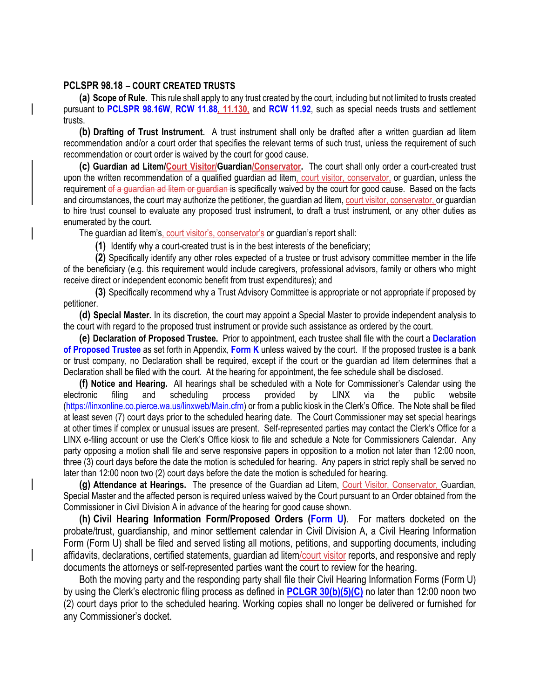## **PCLSPR 98.18 – COURT CREATED TRUSTS**

**(a) Scope of Rule.** This rule shall apply to any trust created by the court, including but not limited to trusts created pursuant to **PCLSPR 98.16W**, **RCW 11.88, 11.130,** and **RCW 11.92**, such as special needs trusts and settlement trusts.

**(b) Drafting of Trust Instrument.** A trust instrument shall only be drafted after a written guardian ad litem recommendation and/or a court order that specifies the relevant terms of such trust, unless the requirement of such recommendation or court order is waived by the court for good cause.

**(c) Guardian ad Litem/Court Visitor/Guardian/Conservator.** The court shall only order a court-created trust upon the written recommendation of a qualified quardian ad litem, court visitor, conservator, or quardian, unless the requirement of a quardian ad litem or quardian is specifically waived by the court for good cause. Based on the facts and circumstances, the court may authorize the petitioner, the guardian ad litem, court visitor, conservator, or guardian to hire trust counsel to evaluate any proposed trust instrument, to draft a trust instrument, or any other duties as enumerated by the court.

The guardian ad litem's, court visitor's, conservator's or guardian's report shall:

**(1)** Identify why a court-created trust is in the best interests of the beneficiary;

**(2)** Specifically identify any other roles expected of a trustee or trust advisory committee member in the life of the beneficiary (e.g. this requirement would include caregivers, professional advisors, family or others who might receive direct or independent economic benefit from trust expenditures); and

**(3)** Specifically recommend why a Trust Advisory Committee is appropriate or not appropriate if proposed by petitioner.

**(d) Special Master.** In its discretion, the court may appoint a Special Master to provide independent analysis to the court with regard to the proposed trust instrument or provide such assistance as ordered by the court.

**(e) Declaration of Proposed Trustee.** Prior to appointment, each trustee shall file with the court a **Declaration of Proposed Trustee** as set forth in Appendix, **Form K** unless waived by the court. If the proposed trustee is a bank or trust company, no Declaration shall be required, except if the court or the guardian ad litem determines that a Declaration shall be filed with the court. At the hearing for appointment, the fee schedule shall be disclosed.

**(f) Notice and Hearing.** All hearings shall be scheduled with a Note for Commissioner's Calendar using the electronic filing and scheduling process provided by LINX via the public website (https://linxonline.co.pierce.wa.us/linxweb/Main.cfm) or from a public kiosk in the Clerk's Office. The Note shall be filed at least seven (7) court days prior to the scheduled hearing date. The Court Commissioner may set special hearings at other times if complex or unusual issues are present. Self-represented parties may contact the Clerk's Office for a LINX e-filing account or use the Clerk's Office kiosk to file and schedule a Note for Commissioners Calendar. Any party opposing a motion shall file and serve responsive papers in opposition to a motion not later than 12:00 noon, three (3) court days before the date the motion is scheduled for hearing. Any papers in strict reply shall be served no later than 12:00 noon two (2) court days before the date the motion is scheduled for hearing.

**(g) Attendance at Hearings.** The presence of the Guardian ad Litem, Court Visitor, Conservator, Guardian, Special Master and the affected person is required unless waived by the Court pursuant to an Order obtained from the Commissioner in Civil Division A in advance of the hearing for good cause shown.

**(h) Civil Hearing Information Form/Proposed Orders (Form U)**. For matters docketed on the probate/trust, guardianship, and minor settlement calendar in Civil Division A, a Civil Hearing Information Form (Form U) shall be filed and served listing all motions, petitions, and supporting documents, including affidavits, declarations, certified statements, guardian ad litem/court visitor reports, and responsive and reply documents the attorneys or self-represented parties want the court to review for the hearing.

Both the moving party and the responding party shall file their Civil Hearing Information Forms (Form U) by using the Clerk's electronic filing process as defined in **PCLGR 30(b)(5)(C)** no later than 12:00 noon two (2) court days prior to the scheduled hearing. Working copies shall no longer be delivered or furnished for any Commissioner's docket.